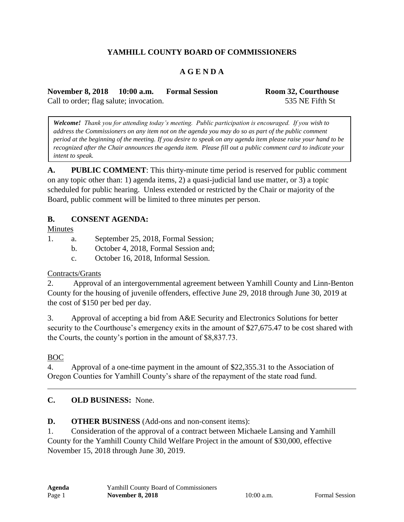# **YAMHILL COUNTY BOARD OF COMMISSIONERS**

## **A G E N D A**

**November 8, 2018 10:00 a.m. Formal Session Room 32, Courthouse** Call to order; flag salute; invocation. 535 NE Fifth St

*Welcome! Thank you for attending today's meeting. Public participation is encouraged. If you wish to address the Commissioners on any item not on the agenda you may do so as part of the public comment period at the beginning of the meeting. If you desire to speak on any agenda item please raise your hand to be recognized after the Chair announces the agenda item. Please fill out a public comment card to indicate your intent to speak.*

**A. PUBLIC COMMENT**: This thirty-minute time period is reserved for public comment on any topic other than: 1) agenda items, 2) a quasi-judicial land use matter, or 3) a topic scheduled for public hearing. Unless extended or restricted by the Chair or majority of the Board, public comment will be limited to three minutes per person.

#### **B. CONSENT AGENDA:**

Minutes

1. a. September 25, 2018, Formal Session;

- b. October 4, 2018, Formal Session and;
- c. October 16, 2018, Informal Session.

#### Contracts/Grants

2. Approval of an intergovernmental agreement between Yamhill County and Linn-Benton County for the housing of juvenile offenders, effective June 29, 2018 through June 30, 2019 at the cost of \$150 per bed per day.

3. Approval of accepting a bid from A&E Security and Electronics Solutions for better security to the Courthouse's emergency exits in the amount of \$27,675.47 to be cost shared with the Courts, the county's portion in the amount of \$8,837.73.

### BOC

4. Approval of a one-time payment in the amount of \$22,355.31 to the Association of Oregon Counties for Yamhill County's share of the repayment of the state road fund.

### **C. OLD BUSINESS:** None.

#### **D. OTHER BUSINESS** (Add-ons and non-consent items):

1. Consideration of the approval of a contract between Michaele Lansing and Yamhill County for the Yamhill County Child Welfare Project in the amount of \$30,000, effective November 15, 2018 through June 30, 2019.